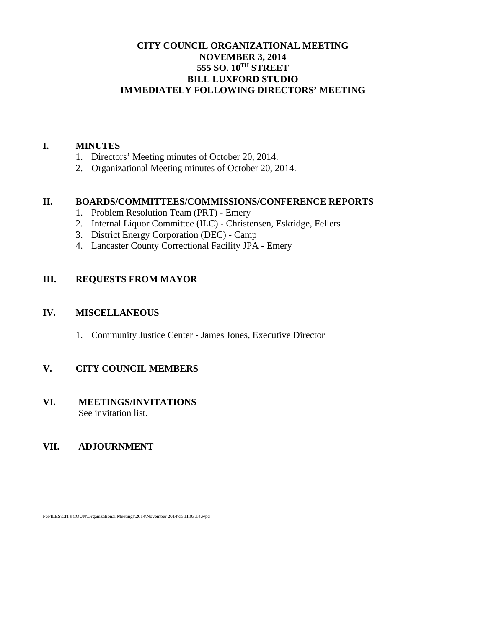# **CITY COUNCIL ORGANIZATIONAL MEETING NOVEMBER 3, 2014 555 SO. 10TH STREET BILL LUXFORD STUDIO IMMEDIATELY FOLLOWING DIRECTORS' MEETING**

#### **I. MINUTES**

- 1. Directors' Meeting minutes of October 20, 2014.
- 2. Organizational Meeting minutes of October 20, 2014.

# **II. BOARDS/COMMITTEES/COMMISSIONS/CONFERENCE REPORTS**

- 1. Problem Resolution Team (PRT) Emery
- 2. Internal Liquor Committee (ILC) Christensen, Eskridge, Fellers
- 3. District Energy Corporation (DEC) Camp
- 4. Lancaster County Correctional Facility JPA Emery

## **III. REQUESTS FROM MAYOR**

#### **IV. MISCELLANEOUS**

1. Community Justice Center - James Jones, Executive Director

# **V. CITY COUNCIL MEMBERS**

#### **VI. MEETINGS/INVITATIONS** See invitation list.

#### **VII. ADJOURNMENT**

F:\FILES\CITYCOUN\Organizational Meetings\2014\November 2014\ca 11.03.14.wpd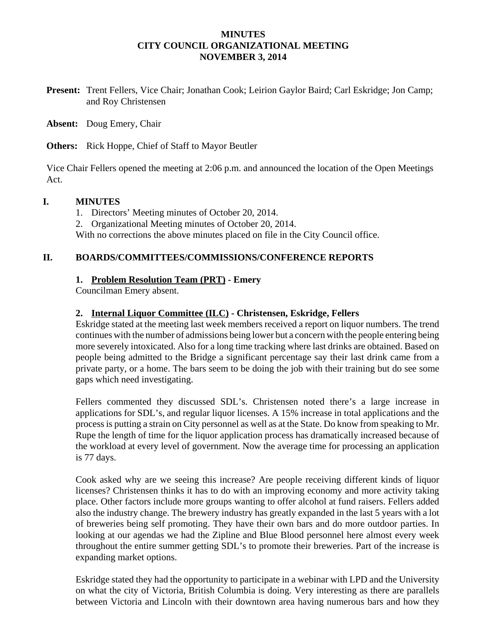## **MINUTES CITY COUNCIL ORGANIZATIONAL MEETING NOVEMBER 3, 2014**

**Present:** Trent Fellers, Vice Chair; Jonathan Cook; Leirion Gaylor Baird; Carl Eskridge; Jon Camp; and Roy Christensen

**Absent:** Doug Emery, Chair

**Others:** Rick Hoppe, Chief of Staff to Mayor Beutler

Vice Chair Fellers opened the meeting at 2:06 p.m. and announced the location of the Open Meetings Act.

## **I. MINUTES**

1. Directors' Meeting minutes of October 20, 2014.

2. Organizational Meeting minutes of October 20, 2014.

With no corrections the above minutes placed on file in the City Council office.

## **II. BOARDS/COMMITTEES/COMMISSIONS/CONFERENCE REPORTS**

## **1. Problem Resolution Team (PRT) - Emery**

Councilman Emery absent.

## **2. Internal Liquor Committee (ILC) - Christensen, Eskridge, Fellers**

Eskridge stated at the meeting last week members received a report on liquor numbers. The trend continues with the number of admissions being lower but a concern with the people entering being more severely intoxicated. Also for a long time tracking where last drinks are obtained. Based on people being admitted to the Bridge a significant percentage say their last drink came from a private party, or a home. The bars seem to be doing the job with their training but do see some gaps which need investigating.

Fellers commented they discussed SDL's. Christensen noted there's a large increase in applications for SDL's, and regular liquor licenses. A 15% increase in total applications and the process is putting a strain on City personnel as well as at the State. Do know from speaking to Mr. Rupe the length of time for the liquor application process has dramatically increased because of the workload at every level of government. Now the average time for processing an application is 77 days.

Cook asked why are we seeing this increase? Are people receiving different kinds of liquor licenses? Christensen thinks it has to do with an improving economy and more activity taking place. Other factors include more groups wanting to offer alcohol at fund raisers. Fellers added also the industry change. The brewery industry has greatly expanded in the last 5 years with a lot of breweries being self promoting. They have their own bars and do more outdoor parties. In looking at our agendas we had the Zipline and Blue Blood personnel here almost every week throughout the entire summer getting SDL's to promote their breweries. Part of the increase is expanding market options.

Eskridge stated they had the opportunity to participate in a webinar with LPD and the University on what the city of Victoria, British Columbia is doing. Very interesting as there are parallels between Victoria and Lincoln with their downtown area having numerous bars and how they